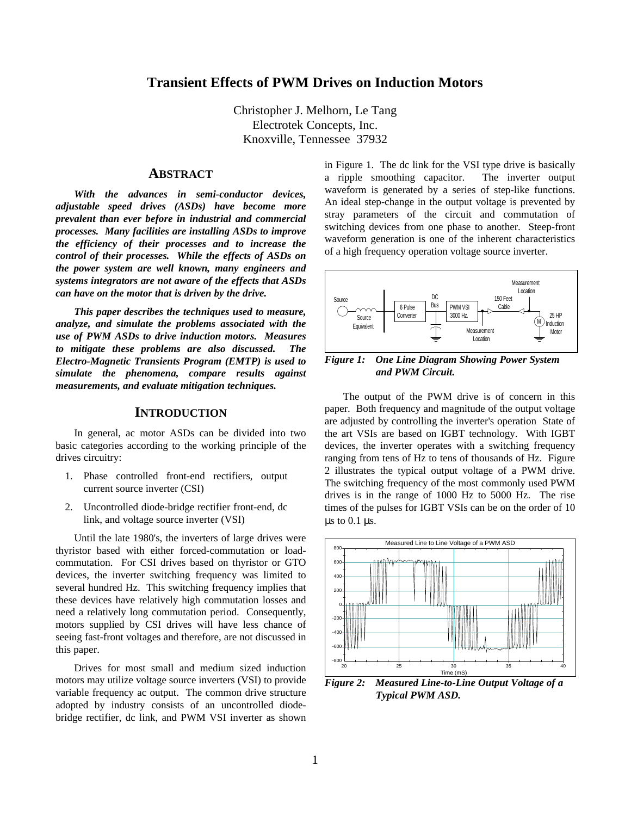## **Transient Effects of PWM Drives on Induction Motors**

Christopher J. Melhorn, Le Tang Electrotek Concepts, Inc. Knoxville, Tennessee 37932

#### **ABSTRACT**

*With the advances in semi-conductor devices, adjustable speed drives (ASDs) have become more prevalent than ever before in industrial and commercial processes. Many facilities are installing ASDs to improve the efficiency of their processes and to increase the control of their processes. While the effects of ASDs on the power system are well known, many engineers and systems integrators are not aware of the effects that ASDs can have on the motor that is driven by the drive.*

*This paper describes the techniques used to measure, analyze, and simulate the problems associated with the use of PWM ASDs to drive induction motors. Measures to mitigate these problems are also discussed. The Electro-Magnetic Transients Program (EMTP) is used to simulate the phenomena, compare results against measurements, and evaluate mitigation techniques.*

### **INTRODUCTION**

In general, ac motor ASDs can be divided into two basic categories according to the working principle of the drives circuitry:

- 1. Phase controlled front-end rectifiers, output current source inverter (CSI)
- 2. Uncontrolled diode-bridge rectifier front-end, dc link, and voltage source inverter (VSI)

Until the late 1980's, the inverters of large drives were thyristor based with either forced-commutation or loadcommutation. For CSI drives based on thyristor or GTO devices, the inverter switching frequency was limited to several hundred Hz. This switching frequency implies that these devices have relatively high commutation losses and need a relatively long commutation period. Consequently, motors supplied by CSI drives will have less chance of seeing fast-front voltages and therefore, are not discussed in this paper.

Drives for most small and medium sized induction motors may utilize voltage source inverters (VSI) to provide variable frequency ac output. The common drive structure adopted by industry consists of an uncontrolled diodebridge rectifier, dc link, and PWM VSI inverter as shown

in Figure 1. The dc link for the VSI type drive is basically a ripple smoothing capacitor. The inverter output waveform is generated by a series of step-like functions. An ideal step-change in the output voltage is prevented by stray parameters of the circuit and commutation of switching devices from one phase to another. Steep-front waveform generation is one of the inherent characteristics of a high frequency operation voltage source inverter.



*Figure 1: One Line Diagram Showing Power System and PWM Circuit.*

The output of the PWM drive is of concern in this paper. Both frequency and magnitude of the output voltage are adjusted by controlling the inverter's operation State of the art VSIs are based on IGBT technology. With IGBT devices, the inverter operates with a switching frequency ranging from tens of Hz to tens of thousands of Hz. Figure 2 illustrates the typical output voltage of a PWM drive. The switching frequency of the most commonly used PWM drives is in the range of 1000 Hz to 5000 Hz. The rise times of the pulses for IGBT VSIs can be on the order of 10 μs to  $0.1$  μs.



*Figure 2: Measured Line-to-Line Output Voltage of a Typical PWM ASD.*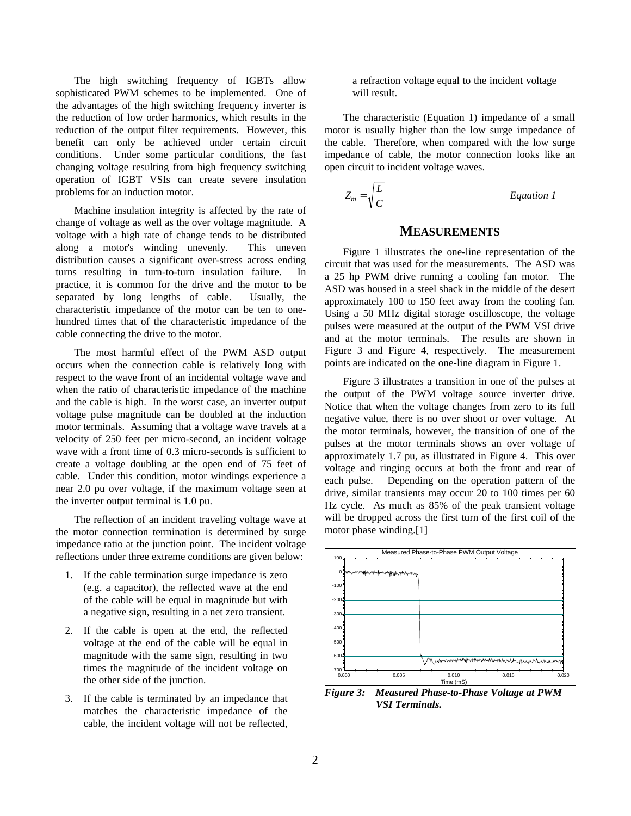The high switching frequency of IGBTs allow sophisticated PWM schemes to be implemented. One of the advantages of the high switching frequency inverter is the reduction of low order harmonics, which results in the reduction of the output filter requirements. However, this benefit can only be achieved under certain circuit conditions. Under some particular conditions, the fast changing voltage resulting from high frequency switching operation of IGBT VSIs can create severe insulation problems for an induction motor.

Machine insulation integrity is affected by the rate of change of voltage as well as the over voltage magnitude. A voltage with a high rate of change tends to be distributed along a motor's winding unevenly. This uneven distribution causes a significant over-stress across ending turns resulting in turn-to-turn insulation failure. In practice, it is common for the drive and the motor to be separated by long lengths of cable. Usually, the characteristic impedance of the motor can be ten to onehundred times that of the characteristic impedance of the cable connecting the drive to the motor.

The most harmful effect of the PWM ASD output occurs when the connection cable is relatively long with respect to the wave front of an incidental voltage wave and when the ratio of characteristic impedance of the machine and the cable is high. In the worst case, an inverter output voltage pulse magnitude can be doubled at the induction motor terminals. Assuming that a voltage wave travels at a velocity of 250 feet per micro-second, an incident voltage wave with a front time of 0.3 micro-seconds is sufficient to create a voltage doubling at the open end of 75 feet of cable. Under this condition, motor windings experience a near 2.0 pu over voltage, if the maximum voltage seen at the inverter output terminal is 1.0 pu.

The reflection of an incident traveling voltage wave at the motor connection termination is determined by surge impedance ratio at the junction point. The incident voltage reflections under three extreme conditions are given below:

- 1. If the cable termination surge impedance is zero (e.g. a capacitor), the reflected wave at the end of the cable will be equal in magnitude but with a negative sign, resulting in a net zero transient.
- 2. If the cable is open at the end, the reflected voltage at the end of the cable will be equal in magnitude with the same sign, resulting in two times the magnitude of the incident voltage on the other side of the junction.
- 3. If the cable is terminated by an impedance that matches the characteristic impedance of the cable, the incident voltage will not be reflected,

a refraction voltage equal to the incident voltage will result.

The characteristic (Equation 1) impedance of a small motor is usually higher than the low surge impedance of the cable. Therefore, when compared with the low surge impedance of cable, the motor connection looks like an open circuit to incident voltage waves.

$$
Z_m = \sqrt{\frac{L}{C}}
$$
 *Equation 1*

## **MEASUREMENTS**

Figure 1 illustrates the one-line representation of the circuit that was used for the measurements. The ASD was a 25 hp PWM drive running a cooling fan motor. The ASD was housed in a steel shack in the middle of the desert approximately 100 to 150 feet away from the cooling fan. Using a 50 MHz digital storage oscilloscope, the voltage pulses were measured at the output of the PWM VSI drive and at the motor terminals. The results are shown in Figure 3 and Figure 4, respectively. The measurement points are indicated on the one-line diagram in Figure 1.

Figure 3 illustrates a transition in one of the pulses at the output of the PWM voltage source inverter drive. Notice that when the voltage changes from zero to its full negative value, there is no over shoot or over voltage. At the motor terminals, however, the transition of one of the pulses at the motor terminals shows an over voltage of approximately 1.7 pu, as illustrated in Figure 4. This over voltage and ringing occurs at both the front and rear of each pulse. Depending on the operation pattern of the drive, similar transients may occur 20 to 100 times per 60 Hz cycle. As much as 85% of the peak transient voltage will be dropped across the first turn of the first coil of the motor phase winding.[1]



*Figure 3: Measured Phase-to-Phase Voltage at PWM VSI Terminals.*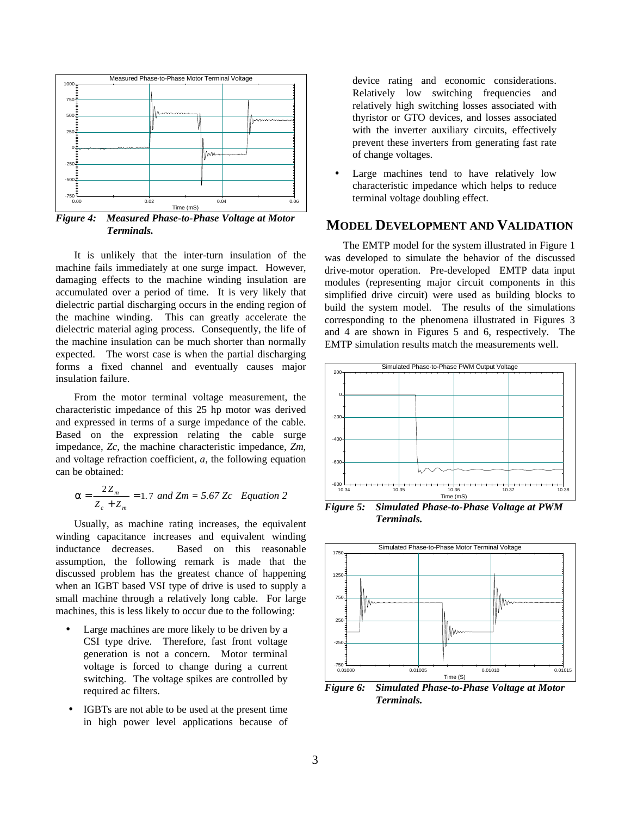

*Figure 4: Measured Phase-to-Phase Voltage at Motor Terminals.*

It is unlikely that the inter-turn insulation of the machine fails immediately at one surge impact. However, damaging effects to the machine winding insulation are accumulated over a period of time. It is very likely that dielectric partial discharging occurs in the ending region of the machine winding. This can greatly accelerate the dielectric material aging process. Consequently, the life of the machine insulation can be much shorter than normally expected. The worst case is when the partial discharging forms a fixed channel and eventually causes major insulation failure.

From the motor terminal voltage measurement, the characteristic impedance of this 25 hp motor was derived and expressed in terms of a surge impedance of the cable. Based on the expression relating the cable surge impedance, *Zc*, the machine characteristic impedance, *Zm*, and voltage refraction coefficient, *a*, the following equation can be obtained:

$$
a = \frac{2Z_m}{Z_c + Z_m} = 1.7 \text{ and } Zm = 5.67 \text{ Zc} \quad Equation \ 2
$$

Usually, as machine rating increases, the equivalent winding capacitance increases and equivalent winding inductance decreases. Based on this reasonable assumption, the following remark is made that the discussed problem has the greatest chance of happening when an IGBT based VSI type of drive is used to supply a small machine through a relatively long cable. For large machines, this is less likely to occur due to the following:

- Large machines are more likely to be driven by a CSI type drive. Therefore, fast front voltage generation is not a concern. Motor terminal voltage is forced to change during a current switching. The voltage spikes are controlled by required ac filters.
- IGBTs are not able to be used at the present time in high power level applications because of

device rating and economic considerations. Relatively low switching frequencies and relatively high switching losses associated with thyristor or GTO devices, and losses associated with the inverter auxiliary circuits, effectively prevent these inverters from generating fast rate of change voltages.

Large machines tend to have relatively low characteristic impedance which helps to reduce terminal voltage doubling effect.

## **MODEL DEVELOPMENT AND VALIDATION**

The EMTP model for the system illustrated in Figure 1 was developed to simulate the behavior of the discussed drive-motor operation. Pre-developed EMTP data input modules (representing major circuit components in this simplified drive circuit) were used as building blocks to build the system model. The results of the simulations corresponding to the phenomena illustrated in Figures 3 and 4 are shown in Figures 5 and 6, respectively. The EMTP simulation results match the measurements well.



*Figure 5: Simulated Phase-to-Phase Voltage at PWM Terminals.*



*Figure 6: Simulated Phase-to-Phase Voltage at Motor Terminals.*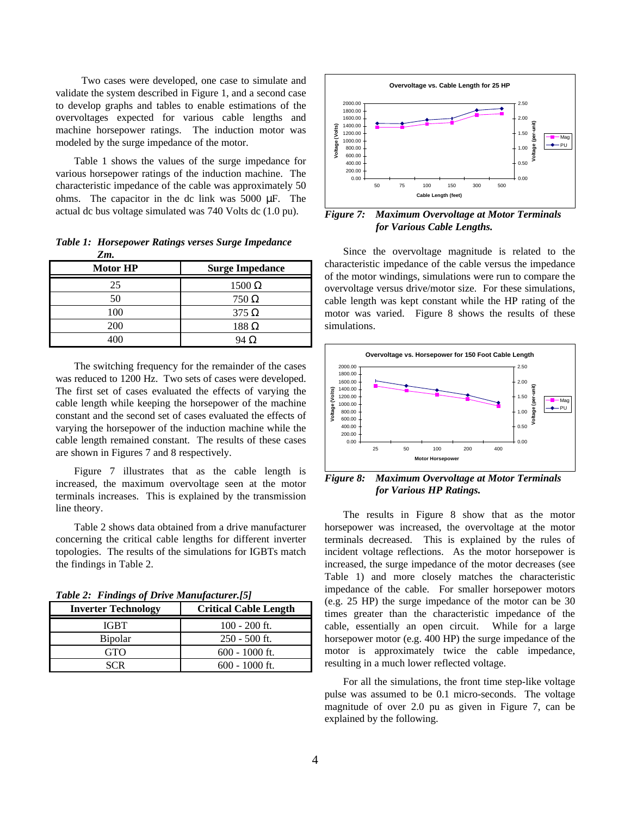Two cases were developed, one case to simulate and validate the system described in Figure 1, and a second case to develop graphs and tables to enable estimations of the overvoltages expected for various cable lengths and machine horsepower ratings. The induction motor was modeled by the surge impedance of the motor.

Table 1 shows the values of the surge impedance for various horsepower ratings of the induction machine. The characteristic impedance of the cable was approximately 50 ohms. The capacitor in the dc link was 5000 μF. The actual dc bus voltage simulated was 740 Volts dc (1.0 pu).

*Table 1: Horsepower Ratings verses Surge Impedance Zm.*

| <b>Motor HP</b> | <b>Surge Impedance</b> |
|-----------------|------------------------|
| 25              | $1500 \Omega$          |
| 50              | $750\,\Omega$          |
| 100             | $375 \Omega$           |
| 200             | $188 \Omega$           |
|                 | 94 Ω                   |

The switching frequency for the remainder of the cases was reduced to 1200 Hz. Two sets of cases were developed. The first set of cases evaluated the effects of varying the cable length while keeping the horsepower of the machine constant and the second set of cases evaluated the effects of varying the horsepower of the induction machine while the cable length remained constant. The results of these cases are shown in Figures 7 and 8 respectively.

Figure 7 illustrates that as the cable length is increased, the maximum overvoltage seen at the motor terminals increases. This is explained by the transmission line theory.

Table 2 shows data obtained from a drive manufacturer concerning the critical cable lengths for different inverter topologies. The results of the simulations for IGBTs match the findings in Table 2.

*Table 2: Findings of Drive Manufacturer.[5]*

| <b>Inverter Technology</b> | <b>Critical Cable Length</b> |
|----------------------------|------------------------------|
| IGBT.                      | $100 - 200$ ft.              |
| <b>Bipolar</b>             | $250 - 500$ ft.              |
| GTO                        | $600 - 1000$ ft.             |
| SCR                        | $600 - 1000$ ft.             |



*Figure 7: Maximum Overvoltage at Motor Terminals for Various Cable Lengths.*

Since the overvoltage magnitude is related to the characteristic impedance of the cable versus the impedance of the motor windings, simulations were run to compare the overvoltage versus drive/motor size. For these simulations, cable length was kept constant while the HP rating of the motor was varied. Figure 8 shows the results of these simulations.



*Figure 8: Maximum Overvoltage at Motor Terminals for Various HP Ratings.*

The results in Figure 8 show that as the motor horsepower was increased, the overvoltage at the motor terminals decreased. This is explained by the rules of incident voltage reflections. As the motor horsepower is increased, the surge impedance of the motor decreases (see Table 1) and more closely matches the characteristic impedance of the cable. For smaller horsepower motors (e.g. 25 HP) the surge impedance of the motor can be 30 times greater than the characteristic impedance of the cable, essentially an open circuit. While for a large horsepower motor (e.g. 400 HP) the surge impedance of the motor is approximately twice the cable impedance, resulting in a much lower reflected voltage.

For all the simulations, the front time step-like voltage pulse was assumed to be 0.1 micro-seconds. The voltage magnitude of over 2.0 pu as given in Figure 7, can be explained by the following.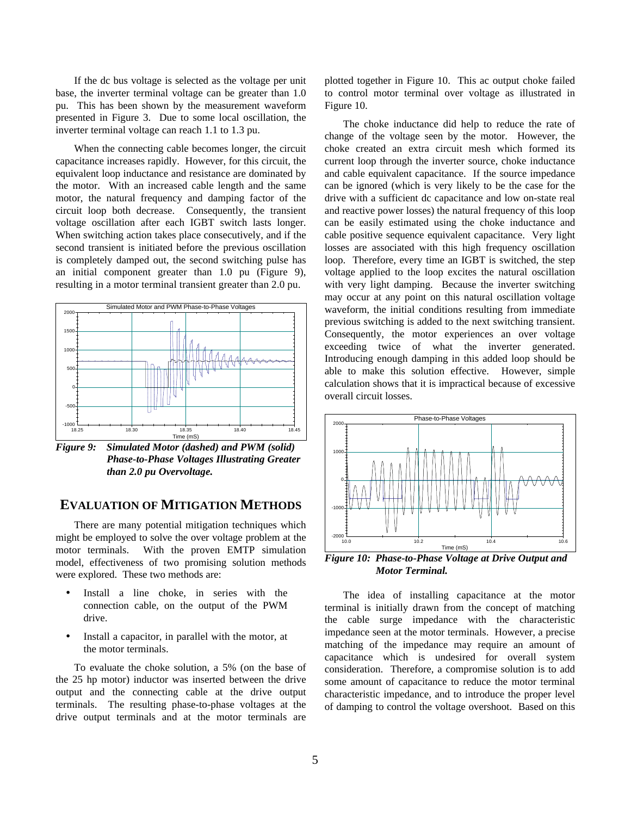If the dc bus voltage is selected as the voltage per unit base, the inverter terminal voltage can be greater than 1.0 pu. This has been shown by the measurement waveform presented in Figure 3. Due to some local oscillation, the inverter terminal voltage can reach 1.1 to 1.3 pu.

When the connecting cable becomes longer, the circuit capacitance increases rapidly. However, for this circuit, the equivalent loop inductance and resistance are dominated by the motor. With an increased cable length and the same motor, the natural frequency and damping factor of the circuit loop both decrease. Consequently, the transient voltage oscillation after each IGBT switch lasts longer. When switching action takes place consecutively, and if the second transient is initiated before the previous oscillation is completely damped out, the second switching pulse has an initial component greater than 1.0 pu (Figure 9), resulting in a motor terminal transient greater than 2.0 pu.



*Figure 9: Simulated Motor (dashed) and PWM (solid) Phase-to-Phase Voltages Illustrating Greater than 2.0 pu Overvoltage.*

# **EVALUATION OF MITIGATION METHODS**

There are many potential mitigation techniques which might be employed to solve the over voltage problem at the motor terminals. With the proven EMTP simulation model, effectiveness of two promising solution methods were explored. These two methods are:

- Install a line choke, in series with the connection cable, on the output of the PWM drive.
- Install a capacitor, in parallel with the motor, at the motor terminals.

To evaluate the choke solution, a 5% (on the base of the 25 hp motor) inductor was inserted between the drive output and the connecting cable at the drive output terminals. The resulting phase-to-phase voltages at the drive output terminals and at the motor terminals are plotted together in Figure 10. This ac output choke failed to control motor terminal over voltage as illustrated in Figure 10.

The choke inductance did help to reduce the rate of change of the voltage seen by the motor. However, the choke created an extra circuit mesh which formed its current loop through the inverter source, choke inductance and cable equivalent capacitance. If the source impedance can be ignored (which is very likely to be the case for the drive with a sufficient dc capacitance and low on-state real and reactive power losses) the natural frequency of this loop can be easily estimated using the choke inductance and cable positive sequence equivalent capacitance. Very light losses are associated with this high frequency oscillation loop. Therefore, every time an IGBT is switched, the step voltage applied to the loop excites the natural oscillation with very light damping. Because the inverter switching may occur at any point on this natural oscillation voltage waveform, the initial conditions resulting from immediate previous switching is added to the next switching transient. Consequently, the motor experiences an over voltage exceeding twice of what the inverter generated. Introducing enough damping in this added loop should be able to make this solution effective. However, simple calculation shows that it is impractical because of excessive overall circuit losses.



*Figure 10: Phase-to-Phase Voltage at Drive Output and Motor Terminal.*

The idea of installing capacitance at the motor terminal is initially drawn from the concept of matching the cable surge impedance with the characteristic impedance seen at the motor terminals. However, a precise matching of the impedance may require an amount of capacitance which is undesired for overall system consideration. Therefore, a compromise solution is to add some amount of capacitance to reduce the motor terminal characteristic impedance, and to introduce the proper level of damping to control the voltage overshoot. Based on this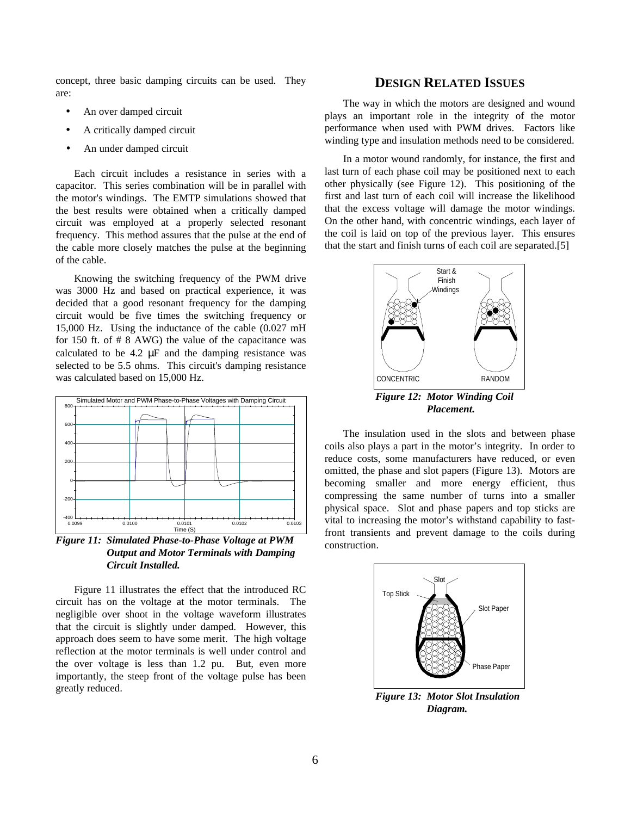concept, three basic damping circuits can be used. They are:

- An over damped circuit
- A critically damped circuit
- An under damped circuit

Each circuit includes a resistance in series with a capacitor. This series combination will be in parallel with the motor's windings. The EMTP simulations showed that the best results were obtained when a critically damped circuit was employed at a properly selected resonant frequency. This method assures that the pulse at the end of the cable more closely matches the pulse at the beginning of the cable.

Knowing the switching frequency of the PWM drive was 3000 Hz and based on practical experience, it was decided that a good resonant frequency for the damping circuit would be five times the switching frequency or 15,000 Hz. Using the inductance of the cable (0.027 mH for 150 ft. of # 8 AWG) the value of the capacitance was calculated to be 4.2 μF and the damping resistance was selected to be 5.5 ohms. This circuit's damping resistance was calculated based on 15,000 Hz.



*Figure 11: Simulated Phase-to-Phase Voltage at PWM Output and Motor Terminals with Damping Circuit Installed.*

Figure 11 illustrates the effect that the introduced RC circuit has on the voltage at the motor terminals. The negligible over shoot in the voltage waveform illustrates that the circuit is slightly under damped. However, this approach does seem to have some merit. The high voltage reflection at the motor terminals is well under control and the over voltage is less than 1.2 pu. But, even more importantly, the steep front of the voltage pulse has been greatly reduced.

## **DESIGN RELATED ISSUES**

The way in which the motors are designed and wound plays an important role in the integrity of the motor performance when used with PWM drives. Factors like winding type and insulation methods need to be considered.

In a motor wound randomly, for instance, the first and last turn of each phase coil may be positioned next to each other physically (see Figure 12). This positioning of the first and last turn of each coil will increase the likelihood that the excess voltage will damage the motor windings. On the other hand, with concentric windings, each layer of the coil is laid on top of the previous layer. This ensures that the start and finish turns of each coil are separated.[5]



*Figure 12: Motor Winding Coil Placement.*

The insulation used in the slots and between phase coils also plays a part in the motor's integrity. In order to reduce costs, some manufacturers have reduced, or even omitted, the phase and slot papers (Figure 13). Motors are becoming smaller and more energy efficient, thus compressing the same number of turns into a smaller physical space. Slot and phase papers and top sticks are vital to increasing the motor's withstand capability to fastfront transients and prevent damage to the coils during construction.



*Figure 13: Motor Slot Insulation Diagram.*